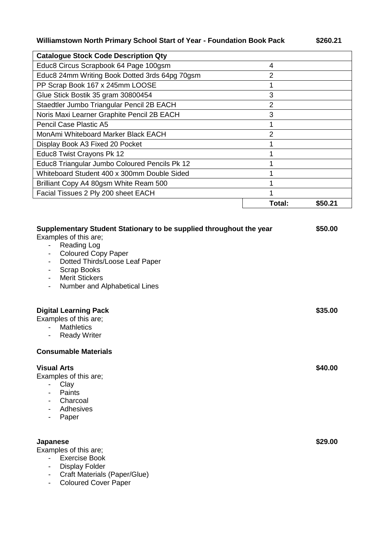## **Williamstown North Primary School Start of Year - Foundation Book Pack**

| €<br>п | œ<br>0 | ۱.<br>U |  |
|--------|--------|---------|--|
|        |        |         |  |

| <b>Catalogue Stock Code Description Qty</b>    |               |         |
|------------------------------------------------|---------------|---------|
| Educ8 Circus Scrapbook 64 Page 100gsm          | 4             |         |
| Educ8 24mm Writing Book Dotted 3rds 64pg 70gsm | 2             |         |
| PP Scrap Book 167 x 245mm LOOSE                |               |         |
| Glue Stick Bostik 35 gram 30800454             | 3             |         |
| Staedtler Jumbo Triangular Pencil 2B EACH      | 2             |         |
| Noris Maxi Learner Graphite Pencil 2B EACH     | 3             |         |
| <b>Pencil Case Plastic A5</b>                  |               |         |
| MonAmi Whiteboard Marker Black EACH            | $\mathcal{P}$ |         |
| Display Book A3 Fixed 20 Pocket                |               |         |
| Educ8 Twist Crayons Pk 12                      |               |         |
| Educ8 Triangular Jumbo Coloured Pencils Pk 12  |               |         |
| Whiteboard Student 400 x 300mm Double Sided    |               |         |
| Brilliant Copy A4 80gsm White Ream 500         |               |         |
| Facial Tissues 2 Ply 200 sheet EACH            |               |         |
|                                                | Total:        | \$50.21 |
|                                                |               |         |

| Supplementary Student Stationary to be supplied throughout the year<br>Examples of this are;<br><b>Reading Log</b><br>$\blacksquare$<br><b>Coloured Copy Paper</b><br>$\blacksquare$<br>Dotted Thirds/Loose Leaf Paper<br>$\overline{\phantom{a}}$<br><b>Scrap Books</b><br>$\overline{\phantom{a}}$<br><b>Merit Stickers</b><br>$\overline{\phantom{a}}$<br>Number and Alphabetical Lines<br>$\overline{\phantom{a}}$ | \$50.00 |
|------------------------------------------------------------------------------------------------------------------------------------------------------------------------------------------------------------------------------------------------------------------------------------------------------------------------------------------------------------------------------------------------------------------------|---------|
| <b>Digital Learning Pack</b><br>Examples of this are;<br><b>Mathletics</b><br><b>Ready Writer</b><br>$\overline{\phantom{a}}$                                                                                                                                                                                                                                                                                          | \$35.00 |
| <b>Consumable Materials</b>                                                                                                                                                                                                                                                                                                                                                                                            |         |
| <b>Visual Arts</b><br>Examples of this are;<br>Clay<br>$\sim$<br>Paints<br>$\overline{\phantom{a}}$<br>Charcoal<br>$\overline{\phantom{a}}$<br>Adhesives<br>Paper<br>$\overline{\phantom{a}}$                                                                                                                                                                                                                          | \$40.00 |
| <b>Japanese</b><br>Examples of this are;<br><b>Exercise Book</b><br>$\overline{\phantom{0}}$<br><b>Display Folder</b><br>$\overline{\phantom{a}}$<br>Craft Materials (Paper/Glue)<br>$\overline{\phantom{a}}$<br><b>Coloured Cover Paper</b><br>$\overline{\phantom{a}}$                                                                                                                                               | \$29.00 |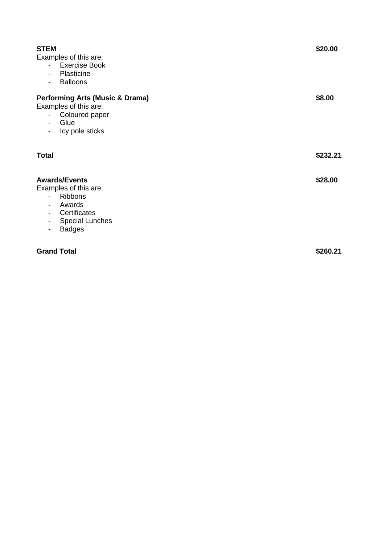| <b>STEM</b><br>Examples of this are;<br>- Exercise Book<br>Plasticine<br>$\overline{\phantom{a}}$<br><b>Balloons</b><br>$\blacksquare$<br><b>Performing Arts (Music &amp; Drama)</b><br>Examples of this are;<br>- Coloured paper<br>Glue<br>$\overline{\phantom{0}}$ | \$20.00<br>\$8.00 |
|-----------------------------------------------------------------------------------------------------------------------------------------------------------------------------------------------------------------------------------------------------------------------|-------------------|
| Icy pole sticks<br>$\overline{\phantom{0}}$                                                                                                                                                                                                                           |                   |
| <b>Total</b>                                                                                                                                                                                                                                                          | \$232.21          |
| <b>Awards/Events</b><br>Examples of this are;<br><b>Ribbons</b><br>$\sim$<br>Awards<br>$\blacksquare$<br>Certificates<br>$\overline{\phantom{a}}$<br><b>Special Lunches</b><br>$\overline{\phantom{a}}$<br><b>Badges</b><br>$\overline{\phantom{a}}$                  | \$28.00           |
| <b>Grand Total</b>                                                                                                                                                                                                                                                    | \$260.21          |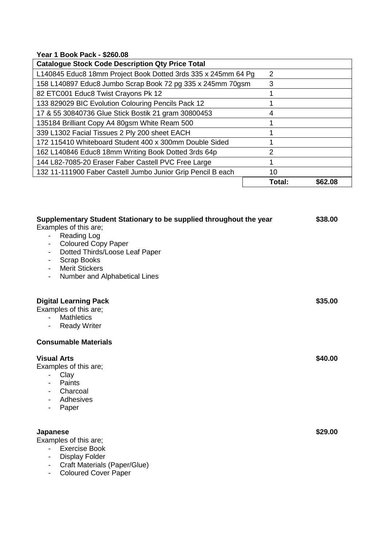## **Year 1 Book Pack - \$260.08**

| <b>Catalogue Stock Code Description Qty Price Total</b>       |               |         |
|---------------------------------------------------------------|---------------|---------|
| L140845 Educ8 18mm Project Book Dotted 3rds 335 x 245mm 64 Pg | $\mathcal{P}$ |         |
| 158 L140897 Educ8 Jumbo Scrap Book 72 pg 335 x 245mm 70gsm    | 3             |         |
| 82 ETC001 Educ8 Twist Crayons Pk 12                           |               |         |
| 133 829029 BIC Evolution Colouring Pencils Pack 12            |               |         |
| 17 & 55 30840736 Glue Stick Bostik 21 gram 30800453           | 4             |         |
| 135184 Brilliant Copy A4 80gsm White Ream 500                 |               |         |
| 339 L1302 Facial Tissues 2 Ply 200 sheet EACH                 |               |         |
| 172 115410 Whiteboard Student 400 x 300mm Double Sided        |               |         |
| 162 L140846 Educ8 18mm Writing Book Dotted 3rds 64p           | 2             |         |
| 144 L82-7085-20 Eraser Faber Castell PVC Free Large           |               |         |
| 132 11-111900 Faber Castell Jumbo Junior Grip Pencil B each   | 10            |         |
|                                                               | Total:        | \$62.08 |

| Supplementary Student Stationary to be supplied throughout the year<br>Examples of this are;<br><b>Reading Log</b><br>$\qquad \qquad \blacksquare$<br><b>Coloured Copy Paper</b><br>-<br>Dotted Thirds/Loose Leaf Paper<br>-<br><b>Scrap Books</b><br>$\overline{\phantom{a}}$<br><b>Merit Stickers</b><br>Number and Alphabetical Lines<br>$\overline{\phantom{a}}$ | \$38.00 |
|----------------------------------------------------------------------------------------------------------------------------------------------------------------------------------------------------------------------------------------------------------------------------------------------------------------------------------------------------------------------|---------|
| <b>Digital Learning Pack</b><br>Examples of this are;<br><b>Mathletics</b><br>$\blacksquare$<br><b>Ready Writer</b><br>$\overline{\phantom{a}}$                                                                                                                                                                                                                      | \$35.00 |
| <b>Consumable Materials</b>                                                                                                                                                                                                                                                                                                                                          |         |
| <b>Visual Arts</b><br>Examples of this are;<br>Clay<br>$\overline{\phantom{a}}$<br>Paints<br>$\overline{\phantom{a}}$<br>Charcoal<br>$\overline{\phantom{a}}$<br>Adhesives<br>$\overline{\phantom{a}}$<br>Paper<br>$\overline{\phantom{a}}$                                                                                                                          | \$40.00 |
| Japanese<br>Examples of this are;<br><b>Exercise Book</b><br><b>Display Folder</b><br>$\overline{\phantom{a}}$<br>Craft Materials (Paper/Glue)<br>$\overline{\phantom{a}}$                                                                                                                                                                                           | \$29.00 |

- Coloured Cover Paper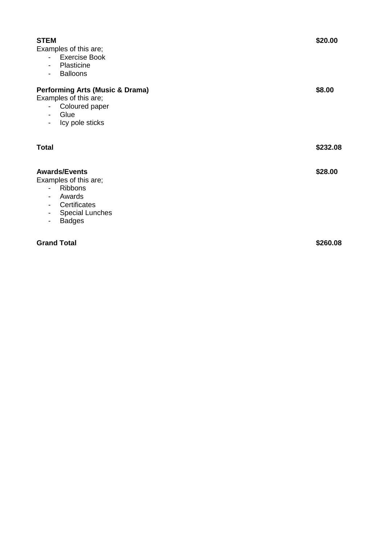| <b>STEM</b><br>Examples of this are;<br><b>Exercise Book</b><br>$\sim$<br>Plasticine<br>-<br><b>Balloons</b><br>$\overline{\phantom{0}}$                                             | \$20.00  |
|--------------------------------------------------------------------------------------------------------------------------------------------------------------------------------------|----------|
| <b>Performing Arts (Music &amp; Drama)</b><br>Examples of this are;<br>- Coloured paper<br>Glue<br>-<br>Icy pole sticks<br>-                                                         | \$8.00   |
| <b>Total</b>                                                                                                                                                                         | \$232.08 |
| <b>Awards/Events</b><br>Examples of this are;<br><b>Ribbons</b><br>$\overline{\phantom{0}}$<br>Awards<br>-<br>Certificates<br>-<br><b>Special Lunches</b><br>-<br><b>Badges</b><br>- | \$28.00  |
| <b>Grand Total</b>                                                                                                                                                                   | \$260.08 |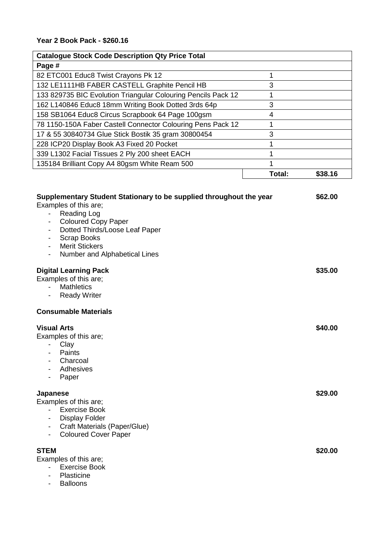| <b>Catalogue Stock Code Description Qty Price Total</b>                                                                                                                                        |        |         |
|------------------------------------------------------------------------------------------------------------------------------------------------------------------------------------------------|--------|---------|
| Page #                                                                                                                                                                                         |        |         |
| 82 ETC001 Educ8 Twist Crayons Pk 12                                                                                                                                                            | 1      |         |
| 132 LE1111HB FABER CASTELL Graphite Pencil HB                                                                                                                                                  | 3      |         |
| 133 829735 BIC Evolution Triangular Colouring Pencils Pack 12                                                                                                                                  | 1      |         |
| 162 L140846 Educ8 18mm Writing Book Dotted 3rds 64p                                                                                                                                            | 3      |         |
| 158 SB1064 Educ8 Circus Scrapbook 64 Page 100gsm                                                                                                                                               | 4      |         |
| 78 1150-150A Faber Castell Connector Colouring Pens Pack 12                                                                                                                                    | 1      |         |
| 17 & 55 30840734 Glue Stick Bostik 35 gram 30800454                                                                                                                                            | 3      |         |
| 228 ICP20 Display Book A3 Fixed 20 Pocket                                                                                                                                                      | 1      |         |
| 339 L1302 Facial Tissues 2 Ply 200 sheet EACH                                                                                                                                                  | 1      |         |
| 135184 Brilliant Copy A4 80gsm White Ream 500                                                                                                                                                  | 1      |         |
|                                                                                                                                                                                                | Total: | \$38.16 |
|                                                                                                                                                                                                |        |         |
| Supplementary Student Stationary to be supplied throughout the year<br>Examples of this are;<br><b>Reading Log</b><br>$\overline{\phantom{0}}$<br><b>Coloured Copy Paper</b><br>$\blacksquare$ |        | \$62.00 |
| Dotted Thirds/Loose Leaf Paper<br><b>Scrap Books</b>                                                                                                                                           |        |         |
| <b>Merit Stickers</b>                                                                                                                                                                          |        |         |
| Number and Alphabetical Lines<br>$\overline{\phantom{a}}$                                                                                                                                      |        |         |
| <b>Digital Learning Pack</b><br>Examples of this are;<br><b>Mathletics</b><br>$\overline{\phantom{a}}$<br><b>Ready Writer</b><br>$\overline{\phantom{a}}$                                      |        | \$35.00 |
| <b>Consumable Materials</b>                                                                                                                                                                    |        |         |
| <b>Visual Arts</b><br>Examples of this are;<br>Clay<br>Paints<br>Charcoal<br>Adhesives<br>Paper                                                                                                |        | \$40.00 |
| <b>Japanese</b><br>Examples of this are;<br><b>Exercise Book</b><br><b>Display Folder</b><br>Craft Materials (Paper/Glue)<br><b>Coloured Cover Paper</b>                                       |        | \$29.00 |
| <b>STEM</b><br>Examples of this are;<br><b>Exercise Book</b>                                                                                                                                   |        | \$20.00 |

- Plasticine
- Balloons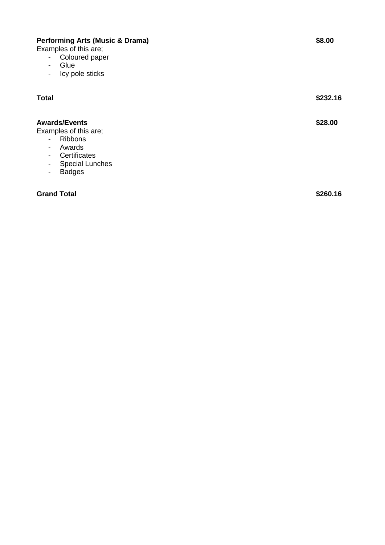| Examples of this are;<br>Coloured paper<br>$\overline{\phantom{a}}$<br>Glue<br>$\overline{\phantom{a}}$<br>Icy pole sticks<br>$\overline{\phantom{a}}$                                                              |          |
|---------------------------------------------------------------------------------------------------------------------------------------------------------------------------------------------------------------------|----------|
| <b>Total</b>                                                                                                                                                                                                        | \$232.16 |
| <b>Awards/Events</b><br>Examples of this are;<br><b>Ribbons</b><br>$\blacksquare$<br>Awards<br>$\overline{\phantom{a}}$<br>Certificates<br>$\overline{\phantom{a}}$<br><b>Special Lunches</b><br><b>Badges</b><br>- | \$28.00  |
| <b>Grand Total</b>                                                                                                                                                                                                  | \$260.16 |

**Performing Arts (Music & Drama) \$8.00**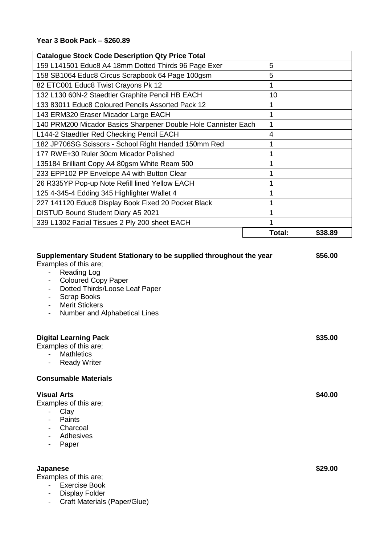| <b>Catalogue Stock Code Description Qty Price Total</b>        |        |         |
|----------------------------------------------------------------|--------|---------|
| 159 L141501 Educ8 A4 18mm Dotted Thirds 96 Page Exer           | 5      |         |
| 158 SB1064 Educ8 Circus Scrapbook 64 Page 100gsm               | 5      |         |
| 82 ETC001 Educ8 Twist Crayons Pk 12                            |        |         |
| 132 L130 60N-2 Staedtler Graphite Pencil HB EACH               | 10     |         |
| 133 83011 Educ8 Coloured Pencils Assorted Pack 12              |        |         |
| 143 ERM320 Eraser Micador Large EACH                           |        |         |
| 140 PRM200 Micador Basics Sharpener Double Hole Cannister Each |        |         |
| L144-2 Staedtler Red Checking Pencil EACH                      | 4      |         |
| 182 JP706SG Scissors - School Right Handed 150mm Red           |        |         |
| 177 RWE+30 Ruler 30cm Micador Polished                         |        |         |
| 135184 Brilliant Copy A4 80gsm White Ream 500                  |        |         |
| 233 EPP102 PP Envelope A4 with Button Clear                    |        |         |
| 26 R335YP Pop-up Note Refill lined Yellow EACH                 |        |         |
| 125 4-345-4 Edding 345 Highlighter Wallet 4                    |        |         |
| 227 141120 Educ8 Display Book Fixed 20 Pocket Black            |        |         |
| <b>DISTUD Bound Student Diary A5 2021</b>                      |        |         |
| 339 L1302 Facial Tissues 2 Ply 200 sheet EACH                  |        |         |
|                                                                | Total: | \$38.89 |

| Supplementary Student Stationary to be supplied throughout the year<br>Examples of this are;<br><b>Reading Log</b><br>$\overline{\phantom{0}}$<br><b>Coloured Copy Paper</b><br>$\overline{\phantom{a}}$<br>Dotted Thirds/Loose Leaf Paper<br>-<br><b>Scrap Books</b><br>$\overline{\phantom{a}}$<br><b>Merit Stickers</b><br>$\overline{\phantom{a}}$<br>Number and Alphabetical Lines<br>$\overline{\phantom{0}}$ | \$56.00 |
|---------------------------------------------------------------------------------------------------------------------------------------------------------------------------------------------------------------------------------------------------------------------------------------------------------------------------------------------------------------------------------------------------------------------|---------|
| <b>Digital Learning Pack</b><br>Examples of this are;<br><b>Mathletics</b><br><b>Ready Writer</b><br>$\overline{\phantom{a}}$                                                                                                                                                                                                                                                                                       | \$35.00 |
| <b>Consumable Materials</b>                                                                                                                                                                                                                                                                                                                                                                                         |         |
| <b>Visual Arts</b><br>Examples of this are;<br>Clay<br>$\overline{\phantom{0}}$<br>Paints<br>-<br>Charcoal<br>$\overline{\phantom{a}}$<br>Adhesives<br>Paper<br>-                                                                                                                                                                                                                                                   | \$40.00 |
| <b>Japanese</b><br>Examples of this are;<br><b>Exercise Book</b><br><b>Display Folder</b><br>-                                                                                                                                                                                                                                                                                                                      | \$29.00 |

- Craft Materials (Paper/Glue)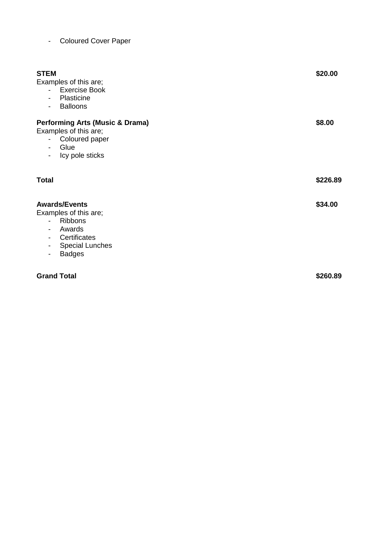| <b>Coloured Cover Paper</b> |  |
|-----------------------------|--|
|                             |  |

| <b>STEM</b><br>Examples of this are;<br><b>Exercise Book</b><br>$\sim$<br>Plasticine<br>$\blacksquare$<br><b>Balloons</b><br>$\blacksquare$                                                                                                                | \$20.00  |
|------------------------------------------------------------------------------------------------------------------------------------------------------------------------------------------------------------------------------------------------------------|----------|
| <b>Performing Arts (Music &amp; Drama)</b><br>Examples of this are;<br>- Coloured paper<br>Glue<br>$\sim$ 100 $\mu$<br>Icy pole sticks<br>$\sim$                                                                                                           | \$8.00   |
| <b>Total</b>                                                                                                                                                                                                                                               | \$226.89 |
| <b>Awards/Events</b><br>Examples of this are;<br><b>Ribbons</b><br>$\overline{\phantom{0}}$<br>Awards<br>$\overline{\phantom{0}}$<br>Certificates<br>$\overline{\phantom{a}}$<br><b>Special Lunches</b><br>$\overline{\phantom{a}}$<br><b>Badges</b><br>۰. | \$34.00  |
| <b>Grand Total</b>                                                                                                                                                                                                                                         | \$260.89 |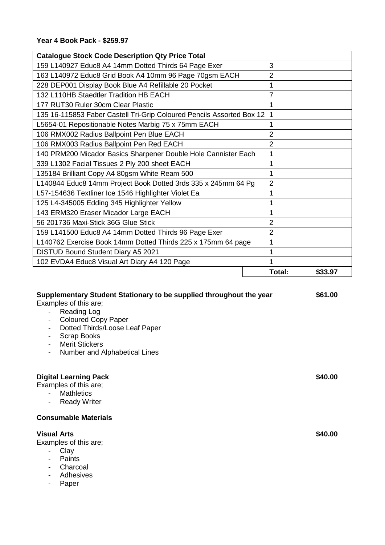| <b>Catalogue Stock Code Description Qty Price Total</b>                 |                |         |
|-------------------------------------------------------------------------|----------------|---------|
| 159 L140927 Educ8 A4 14mm Dotted Thirds 64 Page Exer                    | 3              |         |
| 163 L140972 Educ8 Grid Book A4 10mm 96 Page 70gsm EACH                  | 2              |         |
| 228 DEP001 Display Book Blue A4 Refillable 20 Pocket                    |                |         |
| 132 L110HB Staedtler Tradition HB EACH                                  | 7              |         |
| 177 RUT30 Ruler 30cm Clear Plastic                                      |                |         |
| 135 16-115853 Faber Castell Tri-Grip Coloured Pencils Assorted Box 12 1 |                |         |
| L5654-01 Repositionable Notes Marbig 75 x 75mm EACH                     |                |         |
| 106 RMX002 Radius Ballpoint Pen Blue EACH                               | 2              |         |
| 106 RMX003 Radius Ballpoint Pen Red EACH                                | $\overline{2}$ |         |
| 140 PRM200 Micador Basics Sharpener Double Hole Cannister Each          |                |         |
| 339 L1302 Facial Tissues 2 Ply 200 sheet EACH                           |                |         |
| 135184 Brilliant Copy A4 80gsm White Ream 500                           |                |         |
| L140844 Educ8 14mm Project Book Dotted 3rds 335 x 245mm 64 Pg           | $\overline{2}$ |         |
| L57-154636 Textliner Ice 1546 Highlighter Violet Ea                     |                |         |
| 125 L4-345005 Edding 345 Highlighter Yellow                             |                |         |
| 143 ERM320 Eraser Micador Large EACH                                    |                |         |
| 56 201736 Maxi-Stick 36G Glue Stick                                     | 2              |         |
| 159 L141500 Educ8 A4 14mm Dotted Thirds 96 Page Exer                    | $\overline{2}$ |         |
| L140762 Exercise Book 14mm Dotted Thirds 225 x 175mm 64 page            |                |         |
| DISTUD Bound Student Diary A5 2021                                      |                |         |
| 102 EVDA4 Educ8 Visual Art Diary A4 120 Page                            |                |         |
|                                                                         | Total:         | \$33.97 |

| Supplementary Student Stationary to be supplied throughout the year<br>Examples of this are;<br>Reading Log<br>$\sim$<br><b>Coloured Copy Paper</b><br>-<br>Dotted Thirds/Loose Leaf Paper<br>$\overline{\phantom{a}}$<br><b>Scrap Books</b><br>$\overline{\phantom{a}}$<br><b>Merit Stickers</b><br>$\blacksquare$<br>Number and Alphabetical Lines<br>$\overline{\phantom{a}}$ | \$61.00 |
|----------------------------------------------------------------------------------------------------------------------------------------------------------------------------------------------------------------------------------------------------------------------------------------------------------------------------------------------------------------------------------|---------|
| <b>Digital Learning Pack</b><br>Examples of this are;<br><b>Mathletics</b><br><b>Ready Writer</b><br>$\overline{\phantom{a}}$                                                                                                                                                                                                                                                    | \$40.00 |
| <b>Consumable Materials</b>                                                                                                                                                                                                                                                                                                                                                      |         |
| <b>Visual Arts</b><br>Examples of this are;<br>Clay<br>$\overline{\phantom{a}}$<br>Paints<br>$\overline{\phantom{a}}$<br>Charcoal<br>۰<br>Adhesives<br>$\blacksquare$                                                                                                                                                                                                            | \$40.00 |

- Paper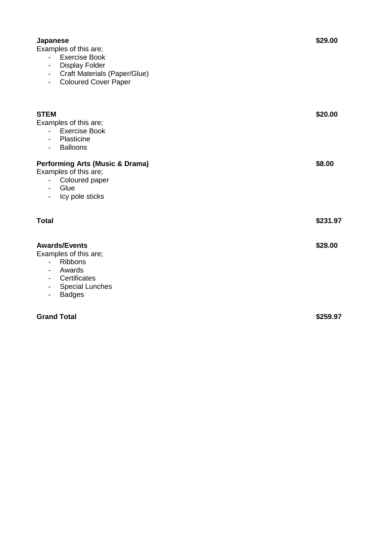| Japanese<br>Examples of this are;<br><b>Exercise Book</b><br>$\sim$<br><b>Display Folder</b><br>$\overline{\phantom{0}}$<br><b>Craft Materials (Paper/Glue)</b><br>Ξ.<br><b>Coloured Cover Paper</b><br>$\overline{\phantom{0}}$ | \$29.00  |
|----------------------------------------------------------------------------------------------------------------------------------------------------------------------------------------------------------------------------------|----------|
| <b>STEM</b><br>Examples of this are;<br><b>Exercise Book</b><br>$\overline{\phantom{0}}$<br>Plasticine<br>۰<br><b>Balloons</b><br>$\overline{\phantom{a}}$                                                                       | \$20.00  |
| <b>Performing Arts (Music &amp; Drama)</b><br>Examples of this are;<br>Coloured paper<br>÷.<br>Glue<br>-<br>Icy pole sticks<br>$\overline{\phantom{0}}$                                                                          | \$8.00   |
| <b>Total</b>                                                                                                                                                                                                                     | \$231.97 |
| <b>Awards/Events</b><br>Examples of this are;<br><b>Ribbons</b><br>$\sim$ 10 $\pm$<br>Awards<br>$\overline{\phantom{0}}$<br>Certificates<br>-<br><b>Special Lunches</b><br>$\overline{\phantom{0}}$<br><b>Badges</b><br>-        | \$28.00  |
| <b>Grand Total</b>                                                                                                                                                                                                               | \$259.97 |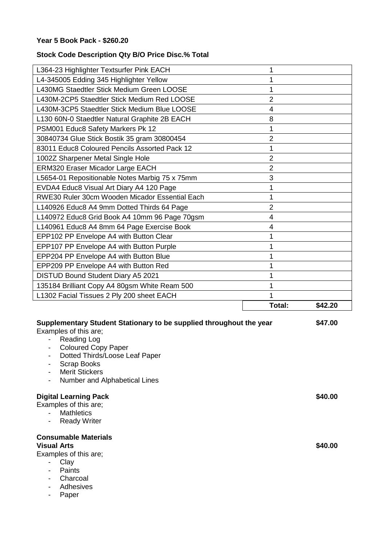## **Year 5 Book Pack - \$260.20**

## **Stock Code Description Qty B/O Price Disc.% Total**

|                                                | Total:         | \$42.20 |
|------------------------------------------------|----------------|---------|
| L1302 Facial Tissues 2 Ply 200 sheet EACH      |                |         |
| 135184 Brilliant Copy A4 80gsm White Ream 500  |                |         |
| DISTUD Bound Student Diary A5 2021             |                |         |
| EPP209 PP Envelope A4 with Button Red          |                |         |
| EPP204 PP Envelope A4 with Button Blue         |                |         |
| EPP107 PP Envelope A4 with Button Purple       |                |         |
| EPP102 PP Envelope A4 with Button Clear        |                |         |
| L140961 Educ8 A4 8mm 64 Page Exercise Book     | 4              |         |
| L140972 Educ8 Grid Book A4 10mm 96 Page 70gsm  | 4              |         |
| L140926 Educ8 A4 9mm Dotted Thirds 64 Page     | $\overline{2}$ |         |
| RWE30 Ruler 30cm Wooden Micador Essential Each |                |         |
| EVDA4 Educ8 Visual Art Diary A4 120 Page       |                |         |
| L5654-01 Repositionable Notes Marbig 75 x 75mm | 3              |         |
| <b>ERM320 Eraser Micador Large EACH</b>        | $\overline{2}$ |         |
| 1002Z Sharpener Metal Single Hole              | $\overline{2}$ |         |
| 83011 Educ8 Coloured Pencils Assorted Pack 12  |                |         |
| 30840734 Glue Stick Bostik 35 gram 30800454    | $\overline{2}$ |         |
| PSM001 Educ8 Safety Markers Pk 12              |                |         |
| L130 60N-0 Staedtler Natural Graphite 2B EACH  | 8              |         |
| L430M-3CP5 Staedtler Stick Medium Blue LOOSE   | 4              |         |
| L430M-2CP5 Staedtler Stick Medium Red LOOSE    | $\overline{2}$ |         |
| L430MG Staedtler Stick Medium Green LOOSE      |                |         |
| L4-345005 Edding 345 Highlighter Yellow        |                |         |
| L364-23 Highlighter Textsurfer Pink EACH       |                |         |
|                                                |                |         |

| Supplementary Student Stationary to be supplied throughout the year<br>Examples of this are;<br>Reading Log<br>$\sim$<br><b>Coloured Copy Paper</b><br>Ξ.<br>Dotted Thirds/Loose Leaf Paper<br>$\overline{\phantom{a}}$<br>Scrap Books<br>-<br><b>Merit Stickers</b><br>$\overline{\phantom{0}}$<br>Number and Alphabetical Lines<br>$\overline{\phantom{a}}$ | \$47.00 |
|---------------------------------------------------------------------------------------------------------------------------------------------------------------------------------------------------------------------------------------------------------------------------------------------------------------------------------------------------------------|---------|
| <b>Digital Learning Pack</b><br>Examples of this are;<br><b>Mathletics</b><br>$\overline{\phantom{0}}$<br><b>Ready Writer</b><br>Ξ.                                                                                                                                                                                                                           | \$40.00 |
| <b>Consumable Materials</b><br><b>Visual Arts</b><br>Examples of this are;<br>Clay<br>Paints<br>Charcoal<br>-<br>Adhesives<br>Paper                                                                                                                                                                                                                           | \$40.00 |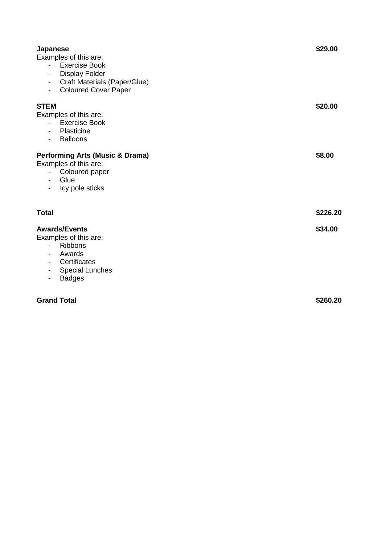| <b>Japanese</b><br>Examples of this are;<br><b>Exercise Book</b><br>$\overline{\phantom{0}}$<br><b>Display Folder</b><br>$\overline{\phantom{a}}$<br><b>Craft Materials (Paper/Glue)</b><br>$\blacksquare$<br><b>Coloured Cover Paper</b><br>$\blacksquare$ | \$29.00  |
|-------------------------------------------------------------------------------------------------------------------------------------------------------------------------------------------------------------------------------------------------------------|----------|
| <b>STEM</b><br>Examples of this are;<br><b>Exercise Book</b><br>$\sim$ 10 $\pm$<br>Plasticine<br><b>Balloons</b><br>$\overline{\phantom{a}}$                                                                                                                | \$20.00  |
| <b>Performing Arts (Music &amp; Drama)</b><br>Examples of this are;<br>Coloured paper<br>$\overline{\phantom{0}}$<br>Glue<br>Icy pole sticks<br>$\overline{\phantom{a}}$                                                                                    | \$8.00   |
| Total                                                                                                                                                                                                                                                       | \$226.20 |
| <b>Awards/Events</b><br>Examples of this are;<br><b>Ribbons</b><br>$\overline{\phantom{a}}$<br>Awards<br>$\overline{\phantom{a}}$<br>Certificates<br>$\overline{\phantom{a}}$<br><b>Special Lunches</b><br><b>Badges</b><br>$\overline{\phantom{a}}$        | \$34.00  |
| <b>Grand Total</b>                                                                                                                                                                                                                                          | \$260.20 |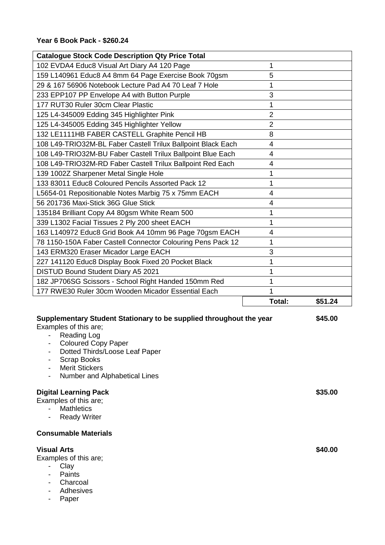| <b>Catalogue Stock Code Description Qty Price Total</b>      |                |         |
|--------------------------------------------------------------|----------------|---------|
| 102 EVDA4 Educ8 Visual Art Diary A4 120 Page                 | 1              |         |
| 159 L140961 Educ8 A4 8mm 64 Page Exercise Book 70gsm         | 5              |         |
| 29 & 167 56906 Notebook Lecture Pad A4 70 Leaf 7 Hole        | 1              |         |
| 233 EPP107 PP Envelope A4 with Button Purple                 | 3              |         |
| 177 RUT30 Ruler 30cm Clear Plastic                           |                |         |
| 125 L4-345009 Edding 345 Highlighter Pink                    | $\overline{2}$ |         |
| 125 L4-345005 Edding 345 Highlighter Yellow                  | $\overline{2}$ |         |
| 132 LE1111HB FABER CASTELL Graphite Pencil HB                | 8              |         |
| 108 L49-TRIO32M-BL Faber Castell Trilux Ballpoint Black Each | $\overline{4}$ |         |
| 108 L49-TRIO32M-BU Faber Castell Trilux Ballpoint Blue Each  | 4              |         |
| 108 L49-TRIO32M-RD Faber Castell Trilux Ballpoint Red Each   | 4              |         |
| 139 1002Z Sharpener Metal Single Hole                        | 1              |         |
| 133 83011 Educ8 Coloured Pencils Assorted Pack 12            | 1              |         |
| L5654-01 Repositionable Notes Marbig 75 x 75mm EACH          | 4              |         |
| 56 201736 Maxi-Stick 36G Glue Stick                          | 4              |         |
| 135184 Brilliant Copy A4 80gsm White Ream 500                | 1              |         |
| 339 L1302 Facial Tissues 2 Ply 200 sheet EACH                | 1              |         |
| 163 L140972 Educ8 Grid Book A4 10mm 96 Page 70gsm EACH       | 4              |         |
| 78 1150-150A Faber Castell Connector Colouring Pens Pack 12  | 1              |         |
| 143 ERM320 Eraser Micador Large EACH                         | 3              |         |
| 227 141120 Educ8 Display Book Fixed 20 Pocket Black          |                |         |
| DISTUD Bound Student Diary A5 2021                           |                |         |
| 182 JP706SG Scissors - School Right Handed 150mm Red         | 1              |         |
| 177 RWE30 Ruler 30cm Wooden Micador Essential Each           |                |         |
|                                                              | Total:         | \$51.24 |

| Supplementary Student Stationary to be supplied throughout the year | \$45.00 |
|---------------------------------------------------------------------|---------|
| Examples of this are;                                               |         |
| Reading Log                                                         |         |
| <b>Coloured Copy Paper</b><br>Ξ.                                    |         |
| Dotted Thirds/Loose Leaf Paper<br>۰.                                |         |
| <b>Scrap Books</b>                                                  |         |
| <b>Merit Stickers</b>                                               |         |
| Number and Alphabetical Lines<br>۰                                  |         |
| <b>Digital Learning Pack</b><br>Examples of this are;               | \$35.00 |
| <b>Mathletics</b>                                                   |         |
| <b>Ready Writer</b><br>$\blacksquare$                               |         |
| <b>Consumable Materials</b>                                         |         |
| <b>Visual Arts</b>                                                  | \$40.00 |

Examples of this are;

- Clay
- Paints
- Charcoal
- Adhesives
- Paper